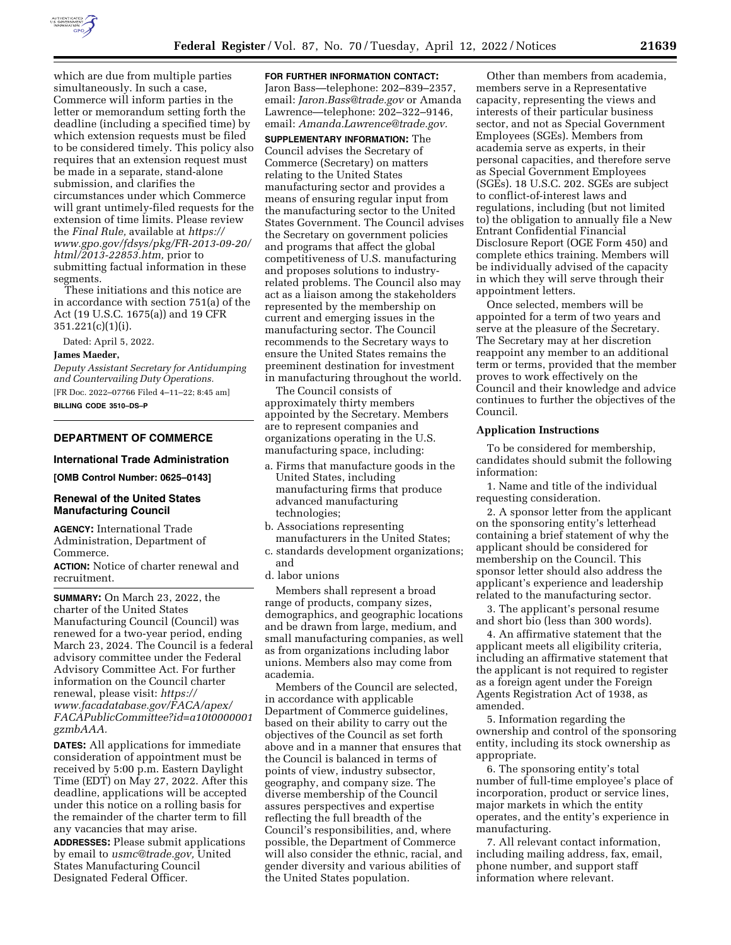

which are due from multiple parties simultaneously. In such a case, Commerce will inform parties in the letter or memorandum setting forth the deadline (including a specified time) by which extension requests must be filed to be considered timely. This policy also requires that an extension request must be made in a separate, stand-alone submission, and clarifies the circumstances under which Commerce will grant untimely-filed requests for the extension of time limits. Please review the *Final Rule,* available at *[https://](https://www.gpo.gov/fdsys/pkg/FR-2013-09-20/html/2013-22853.htm) [www.gpo.gov/fdsys/pkg/FR-2013-09-20/](https://www.gpo.gov/fdsys/pkg/FR-2013-09-20/html/2013-22853.htm) [html/2013-22853.htm,](https://www.gpo.gov/fdsys/pkg/FR-2013-09-20/html/2013-22853.htm)* prior to submitting factual information in these segments.

These initiations and this notice are in accordance with section 751(a) of the Act (19 U.S.C. 1675(a)) and 19 CFR 351.221(c)(1)(i).

Dated: April 5, 2022.

#### **James Maeder,**

*Deputy Assistant Secretary for Antidumping and Countervailing Duty Operations.*  [FR Doc. 2022–07766 Filed 4–11–22; 8:45 am] **BILLING CODE 3510–DS–P** 

# **DEPARTMENT OF COMMERCE**

## **International Trade Administration**

**[OMB Control Number: 0625–0143]** 

## **Renewal of the United States Manufacturing Council**

**AGENCY:** International Trade Administration, Department of Commerce.

**ACTION:** Notice of charter renewal and recruitment.

**SUMMARY:** On March 23, 2022, the charter of the United States Manufacturing Council (Council) was renewed for a two-year period, ending March 23, 2024. The Council is a federal advisory committee under the Federal Advisory Committee Act. For further information on the Council charter renewal, please visit: *[https://](https://www.facadatabase.gov/FACA/apex/FACAPublicCommittee?id=a10t0000001gzmbAAA) [www.facadatabase.gov/FACA/apex/](https://www.facadatabase.gov/FACA/apex/FACAPublicCommittee?id=a10t0000001gzmbAAA)  [FACAPublicCommittee?id=a10t0000001](https://www.facadatabase.gov/FACA/apex/FACAPublicCommittee?id=a10t0000001gzmbAAA) [gzmbAAA.](https://www.facadatabase.gov/FACA/apex/FACAPublicCommittee?id=a10t0000001gzmbAAA)* 

**DATES:** All applications for immediate consideration of appointment must be received by 5:00 p.m. Eastern Daylight Time (EDT) on May 27, 2022. After this deadline, applications will be accepted under this notice on a rolling basis for the remainder of the charter term to fill any vacancies that may arise.

**ADDRESSES:** Please submit applications by email to *[usmc@trade.gov,](mailto:usmc@trade.gov)* United States Manufacturing Council Designated Federal Officer.

### **FOR FURTHER INFORMATION CONTACT:**

Jaron Bass—telephone: 202–839–2357, email: *[Jaron.Bass@trade.gov](mailto:Jaron.Bass@trade.gov)* or Amanda Lawrence—telephone: 202–322–9146, email: *[Amanda.Lawrence@trade.gov.](mailto:Amanda.Lawrence@trade.gov)* 

**SUPPLEMENTARY INFORMATION:** The Council advises the Secretary of Commerce (Secretary) on matters relating to the United States manufacturing sector and provides a means of ensuring regular input from the manufacturing sector to the United States Government. The Council advises the Secretary on government policies and programs that affect the global competitiveness of U.S. manufacturing and proposes solutions to industryrelated problems. The Council also may act as a liaison among the stakeholders represented by the membership on current and emerging issues in the manufacturing sector. The Council recommends to the Secretary ways to ensure the United States remains the preeminent destination for investment in manufacturing throughout the world.

The Council consists of approximately thirty members appointed by the Secretary. Members are to represent companies and organizations operating in the U.S. manufacturing space, including:

- a. Firms that manufacture goods in the United States, including manufacturing firms that produce advanced manufacturing technologies;
- b. Associations representing manufacturers in the United States;
- c. standards development organizations; and
- d. labor unions

Members shall represent a broad range of products, company sizes, demographics, and geographic locations and be drawn from large, medium, and small manufacturing companies, as well as from organizations including labor unions. Members also may come from academia.

Members of the Council are selected, in accordance with applicable Department of Commerce guidelines, based on their ability to carry out the objectives of the Council as set forth above and in a manner that ensures that the Council is balanced in terms of points of view, industry subsector, geography, and company size. The diverse membership of the Council assures perspectives and expertise reflecting the full breadth of the Council's responsibilities, and, where possible, the Department of Commerce will also consider the ethnic, racial, and gender diversity and various abilities of the United States population.

Other than members from academia, members serve in a Representative capacity, representing the views and interests of their particular business sector, and not as Special Government Employees (SGEs). Members from academia serve as experts, in their personal capacities, and therefore serve as Special Government Employees (SGEs). 18 U.S.C. 202. SGEs are subject to conflict-of-interest laws and regulations, including (but not limited to) the obligation to annually file a New Entrant Confidential Financial Disclosure Report (OGE Form 450) and complete ethics training. Members will be individually advised of the capacity in which they will serve through their appointment letters.

Once selected, members will be appointed for a term of two years and serve at the pleasure of the Secretary. The Secretary may at her discretion reappoint any member to an additional term or terms, provided that the member proves to work effectively on the Council and their knowledge and advice continues to further the objectives of the Council.

## **Application Instructions**

To be considered for membership, candidates should submit the following information:

1. Name and title of the individual requesting consideration.

2. A sponsor letter from the applicant on the sponsoring entity's letterhead containing a brief statement of why the applicant should be considered for membership on the Council. This sponsor letter should also address the applicant's experience and leadership related to the manufacturing sector.

3. The applicant's personal resume and short bio (less than 300 words).

4. An affirmative statement that the applicant meets all eligibility criteria, including an affirmative statement that the applicant is not required to register as a foreign agent under the Foreign Agents Registration Act of 1938, as amended.

5. Information regarding the ownership and control of the sponsoring entity, including its stock ownership as appropriate.

6. The sponsoring entity's total number of full-time employee's place of incorporation, product or service lines, major markets in which the entity operates, and the entity's experience in manufacturing.

7. All relevant contact information, including mailing address, fax, email, phone number, and support staff information where relevant.